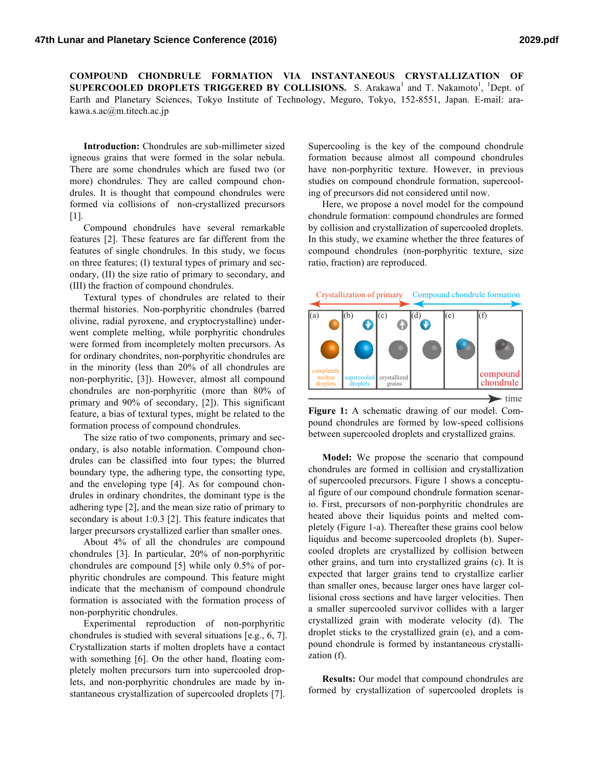**COMPOUND CHONDRULE FORMATION VIA INSTANTANEOUS CRYSTALLIZATION OF SUPERCOOLED DROPLETS TRIGGERED BY COLLISIONS.** S. Arakawa<sup>1</sup> and T. Nakamoto<sup>1</sup>, <sup>1</sup>Dept. of Earth and Planetary Sciences, Tokyo Institute of Technology, Meguro, Tokyo, 152-8551, Japan. E-mail: arakawa.s.ac@m.titech.ac.jp

**Introduction:** Chondrules are sub-millimeter sized igneous grains that were formed in the solar nebula. There are some chondrules which are fused two (or more) chondrules. They are called compound chondrules. It is thought that compound chondrules were formed via collisions of non-crystallized precursors [1].

Compound chondrules have several remarkable features [2]. These features are far different from the features of single chondrules. In this study, we focus on three features; (I) textural types of primary and secondary, (II) the size ratio of primary to secondary, and (III) the fraction of compound chondrules.

Textural types of chondrules are related to their thermal histories. Non-porphyritic chondrules (barred olivine, radial pyroxene, and cryptocrystalline) underwent complete melting, while porphyritic chondrules were formed from incompletely molten precursors. As for ordinary chondrites, non-porphyritic chondrules are in the minority (less than 20% of all chondrules are non-porphyritic, [3]). However, almost all compound chondrules are non-porphyritic (more than 80% of primary and 90% of secondary, [2]). This significant feature, a bias of textural types, might be related to the formation process of compound chondrules.

The size ratio of two components, primary and secondary, is also notable information. Compound chondrules can be classified into four types; the blurred boundary type, the adhering type, the consorting type, and the enveloping type [4]. As for compound chondrules in ordinary chondrites, the dominant type is the adhering type [2], and the mean size ratio of primary to secondary is about 1:0.3 [2]. This feature indicates that larger precursors crystallized earlier than smaller ones.

About 4% of all the chondrules are compound chondrules [3]. In particular, 20% of non-porphyritic chondrules are compound [5] while only 0.5% of porphyritic chondrules are compound. This feature might indicate that the mechanism of compound chondrule formation is associated with the formation process of non-porphyritic chondrules.

Experimental reproduction of non-porphyritic chondrules is studied with several situations [e.g., 6, 7]. Crystallization starts if molten droplets have a contact with something [6]. On the other hand, floating completely molten precursors turn into supercooled droplets, and non-porphyritic chondrules are made by instantaneous crystallization of supercooled droplets [7].

Supercooling is the key of the compound chondrule formation because almost all compound chondrules have non-porphyritic texture. However, in previous studies on compound chondrule formation, supercooling of precursors did not considered until now.

Here, we propose a novel model for the compound chondrule formation: compound chondrules are formed by collision and crystallization of supercooled droplets. In this study, we examine whether the three features of compound chondrules (non-porphyritic texture, size ratio, fraction) are reproduced.





**Model:** We propose the scenario that compound chondrules are formed in collision and crystallization of supercooled precursors. Figure 1 shows a conceptual figure of our compound chondrule formation scenario. First, precursors of non-porphyritic chondrules are heated above their liquidus points and melted completely (Figure 1-a). Thereafter these grains cool below liquidus and become supercooled droplets (b). Supercooled droplets are crystallized by collision between other grains, and turn into crystallized grains (c). It is expected that larger grains tend to crystallize earlier than smaller ones, because larger ones have larger collisional cross sections and have larger velocities. Then a smaller supercooled survivor collides with a larger crystallized grain with moderate velocity (d). The droplet sticks to the crystallized grain (e), and a compound chondrule is formed by instantaneous crystallization (f).

**Results:** Our model that compound chondrules are formed by crystallization of supercooled droplets is